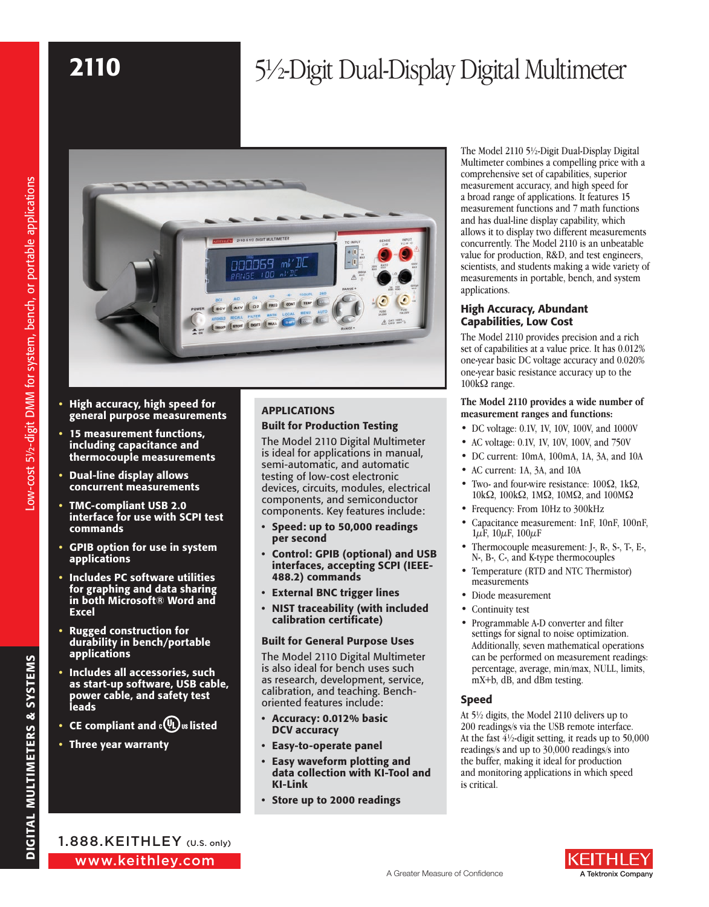# 2110 5<sup>1</sup>/2-Digit Dual-Display Digital Multimeter



- High accuracy, high speed for general purpose measurements
- 15 measurement functions, including capacitance and thermocouple measurements
- Dual-line display allows concurrent measurements
- TMC-compliant USB 2.0 interface for use with SCPI test commands
- GPIB option for use in system applications
- Includes PC software utilities for graphing and data sharing in both Microsoft® Word and Excel
- **Rugged construction for** durability in bench/portable applications
- Includes all accessories, such as start-up software, USB cable, power cable, and safety test leads
- CE compliant and  $c(\Psi_L)$  is listed
- Three year warranty

# APPLICATIONS Built for Production Testing

The Model 2110 Digital Multimeter is ideal for applications in manual, semi-automatic, and automatic testing of low-cost electronic devices, circuits, modules, electrical components, and semiconductor components. Key features include:

- Speed: up to 50,000 readings per second
- Control: GPIB (optional) and USB interfaces, accepting SCPI (IEEE-488.2) commands
- External BNC trigger lines
- NIST traceability (with included calibration certificate)

#### Built for General Purpose Uses

The Model 2110 Digital Multimeter is also ideal for bench uses such as research, development, service, calibration, and teaching. Benchoriented features include:

- Accuracy: 0.012% basic DCV accuracy
- Easy-to-operate panel
- Easy waveform plotting and data collection with KI-Tool and KI-Link
- Store up to 2000 readings

The Model 2110 5½-Digit Dual-Display Digital Multimeter combines a compelling price with a comprehensive set of capabilities, superior measurement accuracy, and high speed for a broad range of applications. It features 15 measurement functions and 7 math functions and has dual-line display capability, which allows it to display two different measurements concurrently. The Model 2110 is an unbeatable value for production, R&D, and test engineers, scientists, and students making a wide variety of measurements in portable, bench, and system applications.

## High Accuracy, Abundant Capabilities, Low Cost

The Model 2110 provides precision and a rich set of capabilities at a value price. It has 0.012% one-year basic DC voltage accuracy and 0.020% one-year basic resistance accuracy up to the  $100\text{k}\Omega$  range.

#### **The Model 2110 provides a wide number of measurement ranges and functions:**

- DC voltage: 0.1V, 1V, 10V, 100V, and 1000V
- AC voltage: 0.1V, 1V, 10V, 100V, and 750V
- DC current: 10mA, 100mA, 1A, 3A, and 10A
- AC current: 1A, 3A, and 10A
- Two- and four-wire resistance: 100Ω, 1kΩ, 10kΩ, 100kΩ, 1MΩ, 10MΩ, and 100MΩ
- Frequency: From 10Hz to 300kHz
- Capacitance measurement: 1nF, 10nF, 100nF,  $1\mu$ F,  $10\mu$ F,  $100\mu$ F
- Thermocouple measurement: J-, R-, S-, T-, E-, N-, B-, C-, and K-type thermocouples
- Temperature (RTD and NTC Thermistor) measurements
- Diode measurement
- Continuity test
- Programmable A-D converter and filter settings for signal to noise optimization. Additionally, seven mathematical operations can be performed on measurement readings: percentage, average, min/max, NULL, limits, mX+b, dB, and dBm testing.

## Speed

At 5½ digits, the Model 2110 delivers up to 200 readings/s via the USB remote interface. At the fast  $\frac{4}{2}$ -digit setting, it reads up to 50,000 readings/s and up to 30,000 readings/s into the buffer, making it ideal for production and monitoring applications in which speed is critical.

Low-cost 5½-digit DMM for system, bench, or portable applications

Low-cost 51/2-digit DMM for system, bench, or portable applications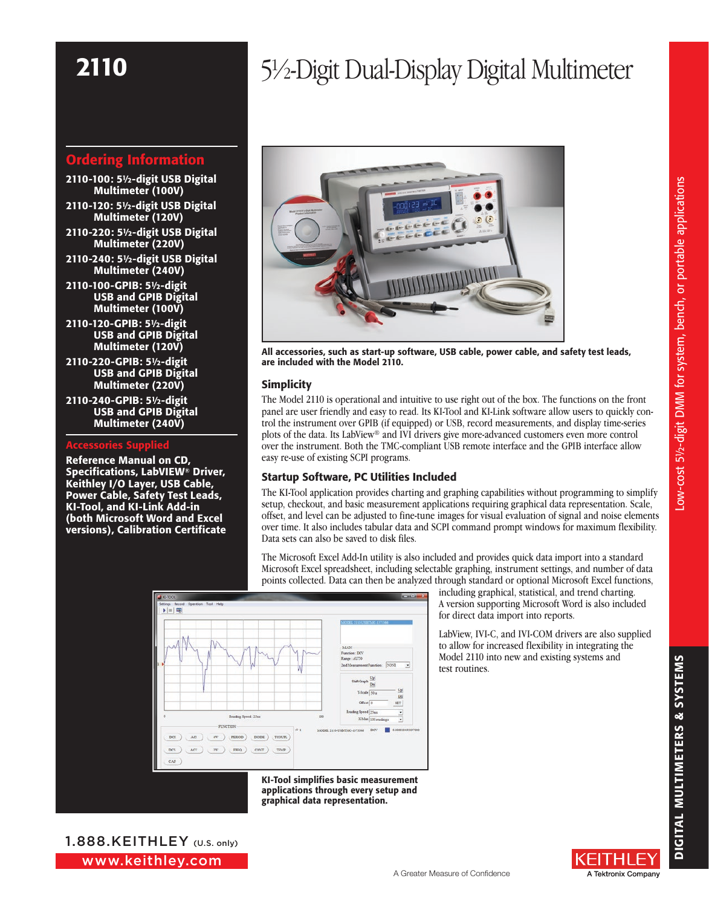# Ordering Information

- 2110-100: 5½-digit USB Digital Multimeter (100V)
- 2110-120: 5½-digit USB Digital Multimeter (120V)
- 2110-220: 5½-digit USB Digital Multimeter (220V)
- 2110-240: 5½-digit USB Digital Multimeter (240V)
- 2110-100-GPIB: 5½-digit USB and GPIB Digital Multimeter (100V)
- 2110-120-GPIB: 5½-digit USB and GPIB Digital Multimeter (120V)
- 2110-220-GPIB: 5½-digit USB and GPIB Digital Multimeter (220V)
- 2110-240-GPIB: 5½-digit USB and GPIB Digital Multimeter (240V)

#### Accessories Supplied

Reference Manual on CD, Specifications, LabVIEW® Driver, Keithley I/O Layer, USB Cable, Power Cable, Safety Test Leads, KI-Tool, and KI-Link Add-in (both Microsoft Word and Excel versions), Calibration Certificate

# 2110 5½-Digit Dual-Display Digital Multimeter



All accessories, such as start-up software, USB cable, power cable, and safety test leads, are included with the Model 2110.

## Simplicity

The Model 2110 is operational and intuitive to use right out of the box. The functions on the front panel are user friendly and easy to read. Its KI-Tool and KI-Link software allow users to quickly control the instrument over GPIB (if equipped) or USB, record measurements, and display time-series plots of the data. Its LabView® and IVI drivers give more-advanced customers even more control over the instrument. Both the TMC-compliant USB remote interface and the GPIB interface allow easy re-use of existing SCPI programs.

## Startup Software, PC Utilities Included

The KI-Tool application provides charting and graphing capabilities without programming to simplify setup, checkout, and basic measurement applications requiring graphical data representation. Scale, offset, and level can be adjusted to fine-tune images for visual evaluation of signal and noise elements over time. It also includes tabular data and SCPI command prompt windows for maximum flexibility. Data sets can also be saved to disk files.

The Microsoft Excel Add-In utility is also included and provides quick data import into a standard Microsoft Excel spreadsheet, including selectable graphing, instrument settings, and number of data points collected. Data can then be analyzed through standard or optional Microsoft Excel functions,



KI-Tool simplifies basic measurement applications through every setup and graphical data representation.

including graphical, statistical, and trend charting. A version supporting Microsoft Word is also included for direct data import into reports.

LabView, IVI-C, and IVI-COM drivers are also supplied to allow for increased flexibility in integrating the Model 2110 into new and existing systems and test routines.

ENHI A Tektronix Company

www.keithley.com 1.888.KEITHLEY (U.S. only)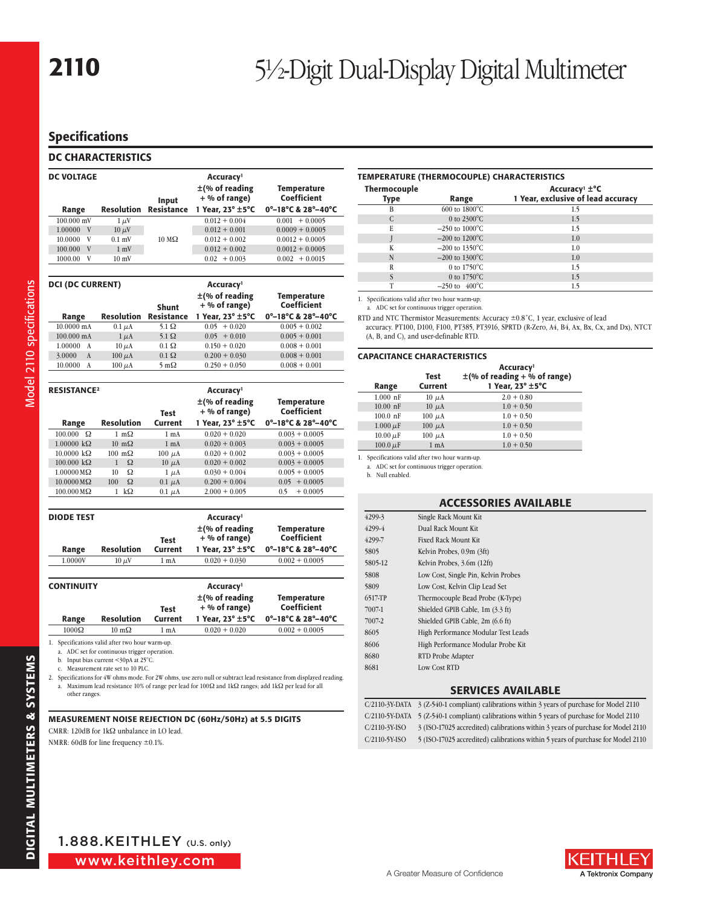# Specifications

## DC CHARACTERISTICS

| <b>DC VOLTAGE</b> |                   |                      | Accuracy <sup>1</sup>                  |                                                       |
|-------------------|-------------------|----------------------|----------------------------------------|-------------------------------------------------------|
|                   |                   | Input                | $\pm$ (% of reading<br>$+$ % of range) | <b>Temperature</b><br>Coefficient                     |
| Range             | <b>Resolution</b> | <b>Resistance</b>    | 1 Year, $23^{\circ} \pm 5^{\circ}$ C   | $0^{\circ}-18^{\circ}$ C & 28 $^{\circ}-40^{\circ}$ C |
| $100.000$ mV      | $1 \mu V$         | $10 \text{ M}\Omega$ | $0.012 + 0.004$                        | $+0.0005$<br>0.001                                    |
| 1.00000<br>V      | $10 \mu V$        |                      | $0.012 + 0.001$                        | $0.0009 + 0.0005$                                     |
| 10.0000<br>V      | $0.1$ mV          |                      | $0.012 + 0.002$                        | $0.0012 + 0.0005$                                     |
| V<br>100.000      | $1 \text{ mV}$    |                      | $0.012 + 0.002$                        | $0.0012 + 0.0005$                                     |
| 1000.00<br>V      | $10 \text{ mV}$   |                      | $+0.003$<br>0.02                       | $+0.0015$<br>0.002                                    |

| <b>DCI (DC CURRENT)</b> |                   |                     | Accuracy <sup>1</sup>                  |                                                       |  |
|-------------------------|-------------------|---------------------|----------------------------------------|-------------------------------------------------------|--|
|                         |                   | <b>Shunt</b>        | $\pm$ (% of reading<br>$+$ % of range) | <b>Temperature</b><br>Coefficient                     |  |
| Range                   | <b>Resolution</b> | <b>Resistance</b>   | 1 Year, 23° ±5°C                       | $0^{\circ}-18^{\circ}$ C & 28 $^{\circ}-40^{\circ}$ C |  |
| 10.0000 mA              | $0.1 \mu A$       | $5.1 \Omega$        | $0.05 + 0.020$                         | $0.005 + 0.002$                                       |  |
| 100.000 mA              | $1 \mu A$         | $5.1 \Omega$        | $0.05 + 0.010$                         | $0.005 + 0.001$                                       |  |
| 1.00000<br>A            | $10 \mu A$        | $0.1 \Omega$        | $0.150 + 0.020$                        | $0.008 + 0.001$                                       |  |
| 3.0000<br>$\mathbf{A}$  | $100 \mu A$       | $0.1 \Omega$        | $0.200 + 0.030$                        | $0.008 + 0.001$                                       |  |
| 10.0000<br>A            | $100 \mu A$       | $5 \text{ m}\Omega$ | $0.250 + 0.050$                        | $0.008 + 0.001$                                       |  |

| <b>RESISTANCE<sup>2</sup></b> |                       | Test             | Accuracy <sup>1</sup><br>$\pm$ (% of reading<br>$+$ % of range) | Temperature<br>Coefficient |
|-------------------------------|-----------------------|------------------|-----------------------------------------------------------------|----------------------------|
| Range                         | <b>Resolution</b>     | Current          | 1 Year. 23° ±5°C                                                | 0°-18°C & 28°-40°C         |
| Ω<br>100.000                  | 1 m $\Omega$          | 1 <sub>m</sub> A | $0.020 + 0.020$                                                 | $0.003 + 0.0005$           |
| $1.00000 \text{ k}\Omega$     | $10 \text{ m}\Omega$  | $1 \text{ mA}$   | $0.020 + 0.003$                                                 | $0.003 + 0.0005$           |
| $10.0000 \text{ k}\Omega$     | $100 \text{ m}\Omega$ | $100 \mu A$      | $0.020 + 0.002$                                                 | $0.003 + 0.0005$           |
| $100.000 \text{ k}\Omega$     | $\Omega$              | $10 \mu A$       | $0.020 + 0.002$                                                 | $0.003 + 0.0005$           |
| $1.00000 \,\text{M}\Omega$    | Ω<br>10               | $1 \mu A$        | $0.030 + 0.004$                                                 | $0.005 + 0.0005$           |
| $10.0000 \,\text{M}\Omega$    | $\Omega$<br>100       | $0.1 \mu A$      | $0.200 + 0.004$                                                 | $0.05 + 0.0005$            |
| $100.000 \,\text{M}\Omega$    | $k\Omega$             | $0.1 \mu A$      | $2.000 + 0.005$                                                 | $+0.0005$<br>0.5           |

| <b>DIODE TEST</b> |                      |                 | Accuracy <sup>1</sup>                  |                                                       |
|-------------------|----------------------|-----------------|----------------------------------------|-------------------------------------------------------|
|                   |                      | Test            | $\pm$ (% of reading<br>$+$ % of range) | Temperature<br>Coefficient                            |
| Range             | <b>Resolution</b>    | <b>Current</b>  | 1 Year. 23° ±5°C                       | $0^{\circ}-18^{\circ}$ C & 28 $^{\circ}-40^{\circ}$ C |
| 1.0000V           | $10 \mu$ V           | 1 <sub>mA</sub> | $0.020 + 0.030$                        | $0.002 + 0.0005$                                      |
|                   |                      |                 |                                        |                                                       |
| <b>CONTINUITY</b> |                      |                 | Accuracy <sup>1</sup>                  |                                                       |
|                   |                      | Test            | $\pm$ (% of reading<br>$+$ % of range) | Temperature<br>Coefficient                            |
| Range             | <b>Resolution</b>    | Current         | 1 Year. $23^{\circ}$ $\pm 5^{\circ}$ C | $0^{\circ}-18^{\circ}$ C & 28 $^{\circ}-40^{\circ}$ C |
| $1000\Omega$      | $10 \text{ m}\Omega$ | 1 <sub>mA</sub> | $0.020 + 0.020$                        | $0.002 + 0.0005$                                      |

a. ADC set for continuous trigger operation.

b. Input bias current <30pA at 25°C.

c. Measurement rate set to 10 PLC.

2. Specifications for 4W ohms mode. For 2W ohms, use zero null or subtract lead resistance from displayed reading. a. Maximum lead resistance 10% of range per lead for 100 $\Omega$  and 1k $\Omega$  ranges; add 1k $\Omega$  per lead for all other ranges.

#### Measurement noise rejection DC (60Hz/50Hz) at 5.5 Digits

CMRR: 120dB for  $1\text{k}\Omega$  unbalance in LO lead.

NMRR: 60dB for line frequency ±0.1%.

#### TEMPERATURE (Thermocouple) CHARACTERISTICS

| <b>Thermocouple</b><br>Type | Range                      | Accuracy <sup>1</sup> $\pm$ <sup>o</sup> C<br>1 Year, exclusive of lead accuracy |
|-----------------------------|----------------------------|----------------------------------------------------------------------------------|
| B                           | $600$ to $1800^{\circ}$ C  | 1.5                                                                              |
|                             | 0 to $2300^{\circ}$ C      | 1.5                                                                              |
| E                           | $-250$ to $1000^{\circ}$ C | 1.5                                                                              |
|                             | $-200$ to $1200^{\circ}$ C | 1.0                                                                              |
| K                           | $-200$ to 1350 $\degree$ C | 1.0                                                                              |
| N                           | $-200$ to 1300°C           | 1.0                                                                              |
| R                           | 0 to $1750^{\circ}$ C      | 1.5                                                                              |
|                             | 0 to $1750^{\circ}$ C      | 1.5                                                                              |
| T                           | $-250$ to $400^{\circ}$ C  | 1.5                                                                              |

1. Specifications valid after two hour warm-up;

a. ADC set for continuous trigger operation.

RTD and NTC Thermistor Measurements: Accuracy ±0.8˚C, 1 year, exclusive of lead accuracy. PT100, D100, F100, PT385, PT3916, SPRTD (R-Zero, A4, B4, Ax, Bx, Cx, and Dx), NTCT (A, B, and C), and user-definable RTD.

#### CAPACITANCE CHARACTERISTICS

| Range         | Test<br><b>Current</b> | Accuracy <sup>1</sup><br>$\pm$ (% of reading + % of range)<br>1 Year, 23° ±5°C |
|---------------|------------------------|--------------------------------------------------------------------------------|
| $1.000$ nF    | $10 \mu A$             | $2.0 + 0.80$                                                                   |
| $10.00$ nF    | $10 \mu A$             | $1.0 + 0.50$                                                                   |
| $100.0$ nF    | $100 \mu A$            | $1.0 + 0.50$                                                                   |
| $1.000 \mu F$ | $100 \mu A$            | $1.0 + 0.50$                                                                   |
| $10.00 \mu F$ | $100 \mu A$            | $1.0 + 0.50$                                                                   |
| $100.0 \mu F$ | 1 <sub>mA</sub>        | $1.0 + 0.50$                                                                   |

1. Specifications valid after two hour warm-up.

a. ADC set for continuous trigger operation.

b. Null enabled.

#### ACCESSORIES AVAILABLE

| 4299-3  | Single Rack Mount Kit               |
|---------|-------------------------------------|
| 4299-4  | Dual Rack Mount Kit                 |
| 4299-7  | <b>Fixed Rack Mount Kit</b>         |
| 5805    | Kelvin Probes, 0.9m (3ft)           |
| 5805-12 | Kelvin Probes, 3.6m (12ft)          |
| 5808    | Low Cost, Single Pin, Kelvin Probes |
| 5809    | Low Cost, Kelvin Clip Lead Set      |
| 6517-TP | Thermocouple Bead Probe (K-Type)    |
| 7007-1  | Shielded GPIB Cable, 1m (3.3 ft)    |
| 7007-2  | Shielded GPIB Cable, 2m (6.6 ft)    |
| 8605    | High Performance Modular Test Leads |
| 8606    | High Performance Modular Probe Kit  |
| 8680    | RTD Probe Adapter                   |
| 8681    | Low Cost RTD                        |
|         |                                     |

#### SERVICES AVAILABLE

|                  | $C/2110-3Y-DATA$ 3 (Z-540-1 compliant) calibrations within 3 years of purchase for Model 2110 |
|------------------|-----------------------------------------------------------------------------------------------|
|                  | C/2110-5Y-DATA 5 (Z-540-1 compliant) calibrations within 5 years of purchase for Model 2110   |
| C/2110-3Y-ISO    | 3 (ISO-17025 accredited) calibrations within 3 years of purchase for Model 2110               |
| $C/2110-5Y$ -ISO | 5 (ISO-17025 accredited) calibrations within 5 years of purchase for Model 2110               |

Model 2110 specifications

Model 2110 specifications